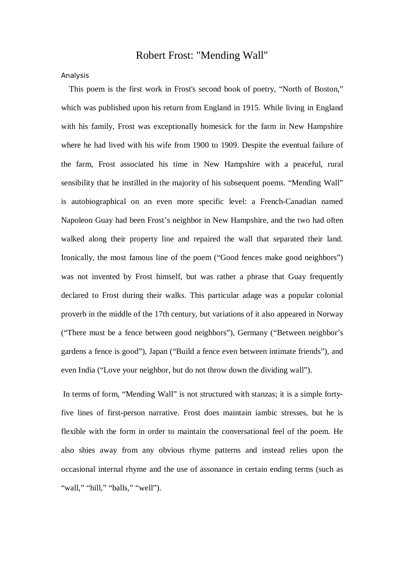## Robert Frost: "Mending Wall"

## Analysis

 This poem is the first work in Frost's second book of poetry, "North of Boston," which was published upon his return from England in 1915. While living in England with his family, Frost was exceptionally homesick for the farm in New Hampshire where he had lived with his wife from 1900 to 1909. Despite the eventual failure of the farm, Frost associated his time in New Hampshire with a peaceful, rural sensibility that he instilled in the majority of his subsequent poems. "Mending Wall" is autobiographical on an even more specific level: a French-Canadian named Napoleon Guay had been Frost's neighbor in New Hampshire, and the two had often walked along their property line and repaired the wall that separated their land. Ironically, the most famous line of the poem ("Good fences make good neighbors") was not invented by Frost himself, but was rather a phrase that Guay frequently declared to Frost during their walks. This particular adage was a popular colonial proverb in the middle of the 17th century, but variations of it also appeared in Norway ("There must be a fence between good neighbors"), Germany ("Between neighbor's gardens a fence is good"), Japan ("Build a fence even between intimate friends"), and even India ("Love your neighbor, but do not throw down the dividing wall").

In terms of form, "Mending Wall" is not structured with stanzas; it is a simple fortyfive lines of first-person narrative. Frost does maintain iambic stresses, but he is flexible with the form in order to maintain the conversational feel of the poem. He also shies away from any obvious rhyme patterns and instead relies upon the occasional internal rhyme and the use of assonance in certain ending terms (such as "wall," "hill," "balls," "well").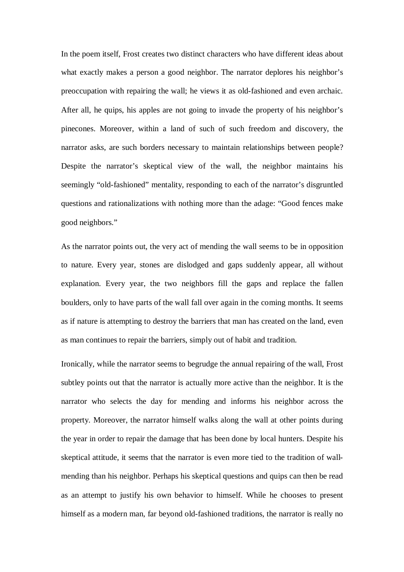In the poem itself, Frost creates two distinct characters who have different ideas about what exactly makes a person a good neighbor. The narrator deplores his neighbor's preoccupation with repairing the wall; he views it as old-fashioned and even archaic. After all, he quips, his apples are not going to invade the property of his neighbor's pinecones. Moreover, within a land of such of such freedom and discovery, the narrator asks, are such borders necessary to maintain relationships between people? Despite the narrator's skeptical view of the wall, the neighbor maintains his seemingly "old-fashioned" mentality, responding to each of the narrator's disgruntled questions and rationalizations with nothing more than the adage: "Good fences make good neighbors."

As the narrator points out, the very act of mending the wall seems to be in opposition to nature. Every year, stones are dislodged and gaps suddenly appear, all without explanation. Every year, the two neighbors fill the gaps and replace the fallen boulders, only to have parts of the wall fall over again in the coming months. It seems as if nature is attempting to destroy the barriers that man has created on the land, even as man continues to repair the barriers, simply out of habit and tradition.

Ironically, while the narrator seems to begrudge the annual repairing of the wall, Frost subtley points out that the narrator is actually more active than the neighbor. It is the narrator who selects the day for mending and informs his neighbor across the property. Moreover, the narrator himself walks along the wall at other points during the year in order to repair the damage that has been done by local hunters. Despite his skeptical attitude, it seems that the narrator is even more tied to the tradition of wallmending than his neighbor. Perhaps his skeptical questions and quips can then be read as an attempt to justify his own behavior to himself. While he chooses to present himself as a modern man, far beyond old-fashioned traditions, the narrator is really no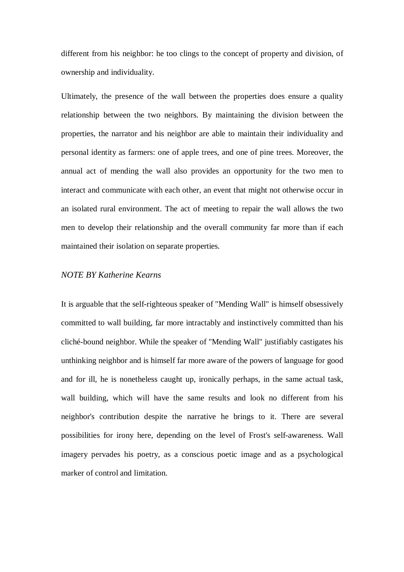different from his neighbor: he too clings to the concept of property and division, of ownership and individuality.

Ultimately, the presence of the wall between the properties does ensure a quality relationship between the two neighbors. By maintaining the division between the properties, the narrator and his neighbor are able to maintain their individuality and personal identity as farmers: one of apple trees, and one of pine trees. Moreover, the annual act of mending the wall also provides an opportunity for the two men to interact and communicate with each other, an event that might not otherwise occur in an isolated rural environment. The act of meeting to repair the wall allows the two men to develop their relationship and the overall community far more than if each maintained their isolation on separate properties.

## *NOTE BY Katherine Kearns*

It is arguable that the self-righteous speaker of "Mending Wall" is himself obsessively committed to wall building, far more intractably and instinctively committed than his cliché-bound neighbor. While the speaker of "Mending Wall" justifiably castigates his unthinking neighbor and is himself far more aware of the powers of language for good and for ill, he is nonetheless caught up, ironically perhaps, in the same actual task, wall building, which will have the same results and look no different from his neighbor's contribution despite the narrative he brings to it. There are several possibilities for irony here, depending on the level of Frost's self-awareness. Wall imagery pervades his poetry, as a conscious poetic image and as a psychological marker of control and limitation.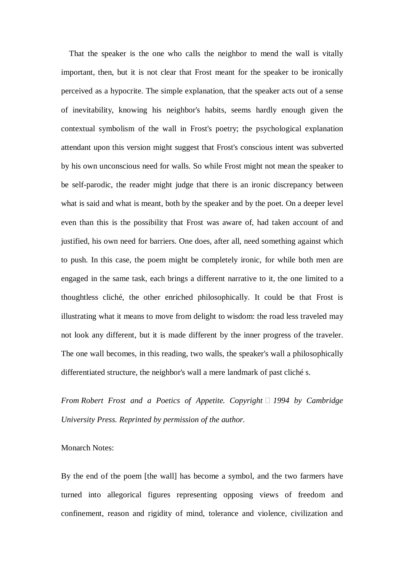That the speaker is the one who calls the neighbor to mend the wall is vitally important, then, but it is not clear that Frost meant for the speaker to be ironically perceived as a hypocrite. The simple explanation, that the speaker acts out of a sense of inevitability, knowing his neighbor's habits, seems hardly enough given the contextual symbolism of the wall in Frost's poetry; the psychological explanation attendant upon this version might suggest that Frost's conscious intent was subverted by his own unconscious need for walls. So while Frost might not mean the speaker to be self-parodic, the reader might judge that there is an ironic discrepancy between what is said and what is meant, both by the speaker and by the poet. On a deeper level even than this is the possibility that Frost was aware of, had taken account of and justified, his own need for barriers. One does, after all, need something against which to push. In this case, the poem might be completely ironic, for while both men are engaged in the same task, each brings a different narrative to it, the one limited to a thoughtless cliché, the other enriched philosophically. It could be that Frost is illustrating what it means to move from delight to wisdom: the road less traveled may not look any different, but it is made different by the inner progress of the traveler. The one wall becomes, in this reading, two walls, the speaker's wall a philosophically differentiated structure, the neighbor's wall a mere landmark of past cliché s.

*From Robert Frost and a Poetics of Appetite. Copyright 1994 by Cambridge University Press. Reprinted by permission of the author.*

## Monarch Notes:

By the end of the poem [the wall] has become a symbol, and the two farmers have turned into allegorical figures representing opposing views of freedom and confinement, reason and rigidity of mind, tolerance and violence, civilization and